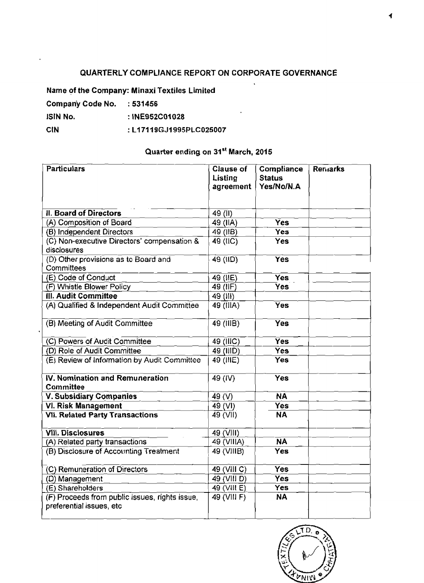## **QUARTERLY COMPLIANCE REPORT ON CORPORATE GOVERNANCE**

**Name of the Company: Minaxi Textiles Limited** 

**Company Code No.** : **531456** 

**lSlN No.** : **INE952COA028** 

## **CIN** :L17119GJ1995PLC025007

## **Quarter ending on 31'' March, 2015**

| <b>CIN</b><br>: L17119GJ1995PLC025007<br>Quarter ending on 31 <sup>st</sup> March, 2015 |             |                  |  |  |  |
|-----------------------------------------------------------------------------------------|-------------|------------------|--|--|--|
|                                                                                         |             |                  |  |  |  |
| <b>II. Board of Directors</b>                                                           | 49 (II)     |                  |  |  |  |
| (A) Composition of Board                                                                | 49 (IIA)    | Yes              |  |  |  |
| (B) Independent Directors                                                               | 49 (IB)     | <b>Yes</b>       |  |  |  |
| (C) Non-executive Directors' compensation &<br>disclosures                              | 49 (IIC)    | Yes              |  |  |  |
| (D) Other provisions as to Board and<br>Committees                                      | $49$ (IID)  | Yes              |  |  |  |
| (E) Code of Conduct                                                                     | $49$ (IIE)  | $\overline{Yes}$ |  |  |  |
| (F) Whistle Blower Policy                                                               | 49 (IF)     | <b>Yes</b>       |  |  |  |
| III. Audit Committee                                                                    | 49 (III)    |                  |  |  |  |
| (A) Qualified & Independent Audit Committee                                             | 49 (IIIA)   | <b>Yes</b>       |  |  |  |
| (B) Meeting of Audit Committee                                                          | 49 (IIIB)   | <b>Yes</b>       |  |  |  |
| (C) Powers of Audit Committee                                                           | 49 (IIIC)   | <b>Yes</b>       |  |  |  |
| (D) Role of Audit Committee                                                             | 49 (IIID)   | Yes.             |  |  |  |
| (E) Review of Information by Audit Committee                                            | 49 (IIIE)   | Yes              |  |  |  |
| <b>IV. Nomination and Remuneration</b><br>Committee                                     | 49 (IV)     | <b>Yes</b>       |  |  |  |
| <b>V. Subsidiary Companies</b>                                                          | 49 $(V)$    | <b>NA</b>        |  |  |  |
| <b>VI. Risk Management</b>                                                              | 49 (VI)     | <b>Yes</b>       |  |  |  |
| <b>VII. Related Party Transactions</b>                                                  | 49 (VII)    | <b>NA</b>        |  |  |  |
| <b>VIII. Disclosures</b>                                                                | 49 (VIII)   |                  |  |  |  |
| (A) Related party transactions                                                          | 49 (VIIIA)  | <b>NA</b>        |  |  |  |
| (B) Disclosure of Accounting Treatment                                                  | 49 (VIIIB)  | <b>Yes</b>       |  |  |  |
| (C) Remuneration of Directors                                                           | 49 (VIII C) | <b>Yes</b>       |  |  |  |
| (D) Management                                                                          | 49 (VIII D) | Yes              |  |  |  |
| (E) Shareholders                                                                        | 49 (VIII E) | <b>Yes</b>       |  |  |  |
| (F) Proceeds from public issues, rights issue,<br>preferential issues, etc              | 49 (VIII F) | <b>NA</b>        |  |  |  |